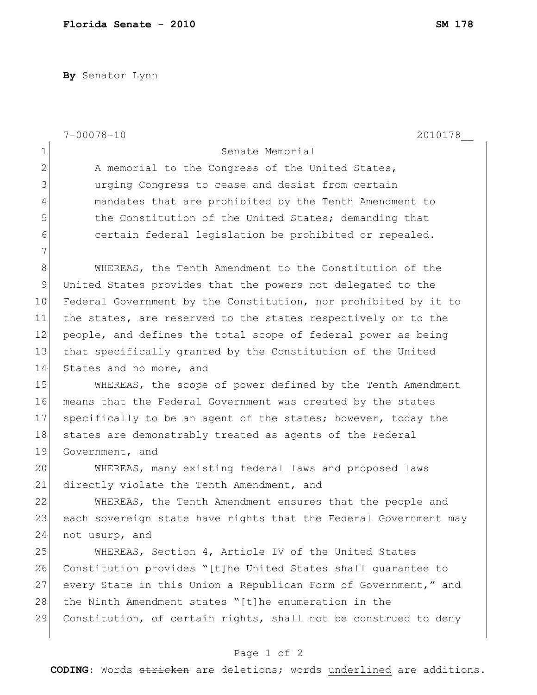**By** Senator Lynn

|              | $7 - 00078 - 10$<br>2010178                                      |
|--------------|------------------------------------------------------------------|
| 1            | Senate Memorial                                                  |
| $\mathbf{2}$ | A memorial to the Congress of the United States,                 |
| 3            | urging Congress to cease and desist from certain                 |
| 4            | mandates that are prohibited by the Tenth Amendment to           |
| 5            | the Constitution of the United States; demanding that            |
| 6            | certain federal legislation be prohibited or repealed.           |
| 7            |                                                                  |
| 8            | WHEREAS, the Tenth Amendment to the Constitution of the          |
| 9            | United States provides that the powers not delegated to the      |
| 10           | Federal Government by the Constitution, nor prohibited by it to  |
| 11           | the states, are reserved to the states respectively or to the    |
| 12           | people, and defines the total scope of federal power as being    |
| 13           | that specifically granted by the Constitution of the United      |
| 14           | States and no more, and                                          |
| 15           | WHEREAS, the scope of power defined by the Tenth Amendment       |
| 16           | means that the Federal Government was created by the states      |
| 17           | specifically to be an agent of the states; however, today the    |
| 18           | states are demonstrably treated as agents of the Federal         |
| 19           | Government, and                                                  |
| 20           | WHEREAS, many existing federal laws and proposed laws            |
| 21           | directly violate the Tenth Amendment, and                        |
| 22           | WHEREAS, the Tenth Amendment ensures that the people and         |
| 23           | each sovereign state have rights that the Federal Government may |
| 24           | not usurp, and                                                   |
| 25           | WHEREAS, Section 4, Article IV of the United States              |
| 26           | Constitution provides "[t]he United States shall quarantee to    |
| 27           | every State in this Union a Republican Form of Government," and  |
| 28           | the Ninth Amendment states "[t]he enumeration in the             |
| 29           | Constitution, of certain rights, shall not be construed to deny  |
|              |                                                                  |

## Page 1 of 2

**CODING**: Words stricken are deletions; words underlined are additions.